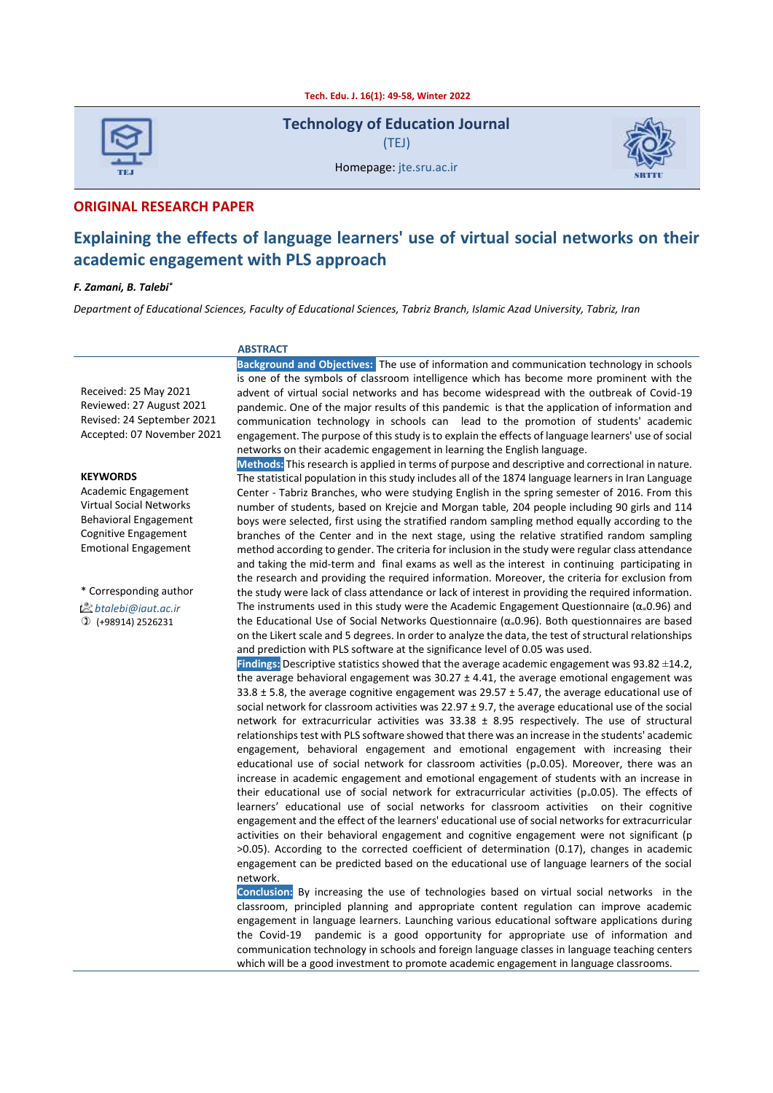**Tech. Edu. J. 16(1): 49-58, Winter 2022**



**Technology of Education Journal** (TEJ)



Homepage: ite.sru.ac.ir

#### **ORIGINAL RESEARCH PAPER**

# **Explaining the effects of language learners' use of virtual social networks on their academic engagement with PLS approach**

#### *F. Zamani, B. Talebi\**

*Department of Educational Sciences, Faculty of Educational Sciences, Tabriz Branch, Islamic Azad University, Tabriz, Iran*

#### **ABSTRACT**

Received: 25 May 2021 Reviewed: 27 August 2021 Revised: 24 September 2021 Accepted: 07 November 2021

#### **KEYWORDS**

Academic Engagement Virtual Social Networks Behavioral Engagement Cognitive Engagement Emotional Engagement

\* Corresponding author

*btalebi@iaut.ac.ir*

(+98914) 2526231

**Background and Objectives:** The use of information and communication technology in schools is one of the symbols of classroom intelligence which has become more prominent with the advent of virtual social networks and has become widespread with the outbreak of Covid-19 pandemic. One of the major results of this pandemic is that the application of information and communication technology in schools can lead to the promotion of students' academic engagement. The purpose of this study is to explain the effects of language learners' use of social networks on their academic engagement in learning the English language.

**Methods:** This research is applied in terms of purpose and descriptive and correctional in nature. The statistical population in this study includes all of the 1874 language learners in Iran Language Center - Tabriz Branches, who were studying English in the spring semester of 2016. From this number of students, based on Krejcie and Morgan table, 204 people including 90 girls and 114 boys were selected, first using the stratified random sampling method equally according to the branches of the Center and in the next stage, using the relative stratified random sampling method according to gender. The criteria for inclusion in the study were regular class attendance and taking the mid-term and final exams as well as the interest in continuing participating in the research and providing the required information. Moreover, the criteria for exclusion from the study were lack of class attendance or lack of interest in providing the required information. The instruments used in this study were the Academic Engagement Questionnaire ( $\alpha$ =0.96) and the Educational Use of Social Networks Questionnaire (α<sub>=</sub>0.96). Both questionnaires are based on the Likert scale and 5 degrees. In order to analyze the data, the test of structural relationships and prediction with PLS software at the significance level of 0.05 was used.

**Findings:** Descriptive statistics showed that the average academic engagement was 93.82 ±14.2, the average behavioral engagement was  $30.27 \pm 4.41$ , the average emotional engagement was  $33.8 \pm 5.8$ , the average cognitive engagement was 29.57  $\pm$  5.47, the average educational use of social network for classroom activities was  $22.97 \pm 9.7$ , the average educational use of the social network for extracurricular activities was  $33.38 \pm 8.95$  respectively. The use of structural relationships test with PLS software showed that there was an increase in the students' academic engagement, behavioral engagement and emotional engagement with increasing their educational use of social network for classroom activities ( $p_0$ 0.05). Moreover, there was an increase in academic engagement and emotional engagement of students with an increase in their educational use of social network for extracurricular activities ( $p_0$ =0.05). The effects of learners' educational use of social networks for classroom activities on their cognitive engagement and the effect of the learners' educational use of social networks for extracurricular activities on their behavioral engagement and cognitive engagement were not significant (p >0.05). According to the corrected coefficient of determination (0.17), changes in academic engagement can be predicted based on the educational use of language learners of the social network.

**Conclusion:** By increasing the use of technologies based on virtual social networks in the classroom, principled planning and appropriate content regulation can improve academic engagement in language learners. Launching various educational software applications during the Covid-19 pandemic is a good opportunity for appropriate use of information and communication technology in schools and foreign language classes in language teaching centers which will be a good investment to promote academic engagement in language classrooms.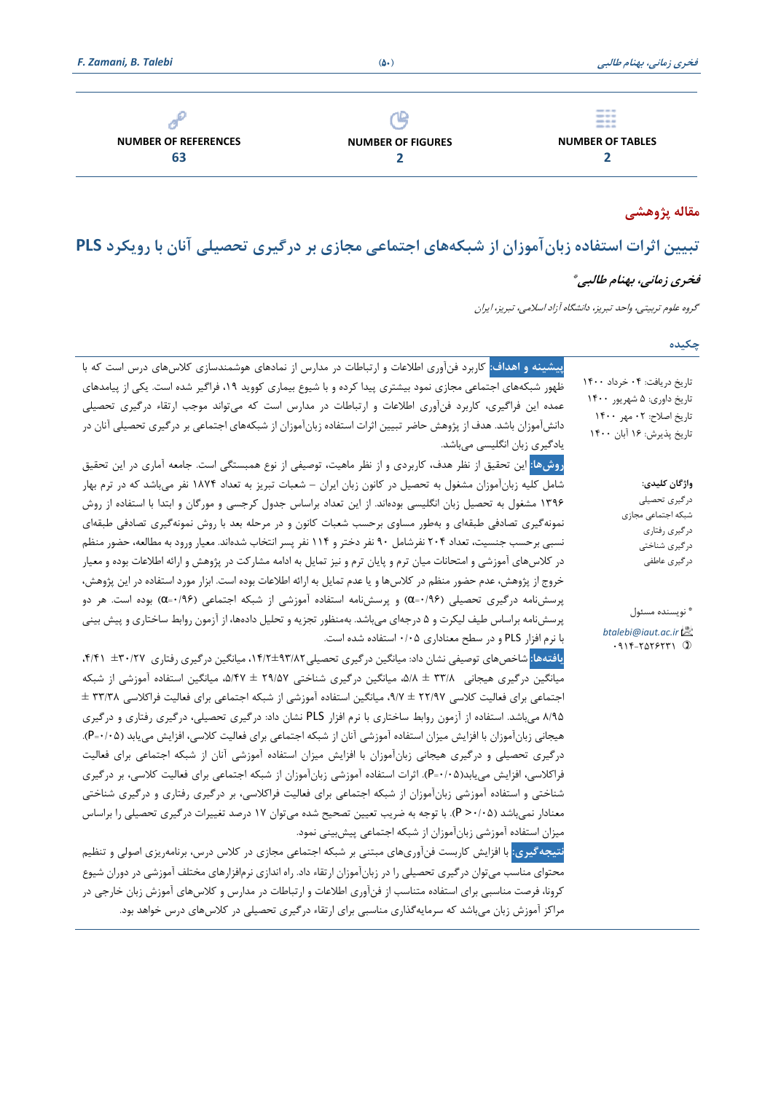|                             |                          | <b>SHELF</b> AND AND<br>$\frac{1}{2} \left( \frac{1}{2} \right) \left( \frac{1}{2} \right) \left( \frac{1}{2} \right) \left( \frac{1}{2} \right)$<br>--- |  |  |
|-----------------------------|--------------------------|----------------------------------------------------------------------------------------------------------------------------------------------------------|--|--|
| <b>NUMBER OF REFERENCES</b> | <b>NUMBER OF FIGURES</b> | <b>NUMBER OF TABLES</b>                                                                                                                                  |  |  |
| 63                          |                          |                                                                                                                                                          |  |  |
|                             |                          |                                                                                                                                                          |  |  |

# **مقاله پژوهشی**

# **تبیی ن اثرات استفاده زبانآموزان از شبکه های اجتماعی مجازی بر درگیری تحصیلی آنان با رو یکرد PLS**

## **فخری زمانی، بهنام طالبی \***

تاریخ اصالح: 02 مهر 1400

گروه علوم تربیتی ، واحد تبریز، دانشگاه آزاد اسالمی، تبریز، ایران

## **چکیده**

تاریخ دریافت: 04 خرداد 1400 تاریخ داوری: 5 شهریور 1400 تاریخ پذیرش: 16 آبان 1400 **پیشینه و اهداف:** کاربرد فنآوری اطالعات و ارتباطات در مدارس از نمادهای هوشمندسازی کالسهای درس است که با ظهور شبکههای اجتماعی مجازی نمود بیشتری پیدا کرده و با شیوع بیماری کووید ۱۹، فراگیر شده است. یکی از پیامدهای عمده این فراگیری، کاربرد فنآوری اطلاعات و ارتباطات در مدارس است که میتواند موجب ارتقاء درگیری تحصیلی دانشآموزان باشد. هدف از پژوهش حاضر تبیین اثرات استفاده زبانآموزان از شبکههای اجتماعی بر درگیری تحصیلی آنان در یادگیری زبان انگلیسی میباشد.

**روشها:** این تحقیق از نظر هدف، کاربردی و از نظر ماهیت، توصیفی از نوع همبستگی است. جامعه آماری در این تحقیق شامل کلیه زبانآموزان مشغول به تحصیل در کانون زبان ایران – شعبات تبریز به تعداد ۱۸۷۴ نفر میباشد که در ترم بهار ۱۳۹۶ مشغول به تحصیل زبان انگلیسی بودهاند. از این تعداد براساس جدول کرجسی و مورگان و ابتدا با استفاده از روش نمونهگیری تصادفی طبقهای و بهطور مساوی برحسب شعبات کانون و در مرحله بعد با روش نمونهگیری تصادفی طبقهای نسبی برحسب جنسیت، تعداد 204 نفرشامل 90 نفر دختر و 114 نفر پسر انتخاب شدهاند. معیار ورود به مطالعه، حضور منظم در کلاسهای آموزشی و امتحانات میان ترم و پایان ترم و نیز تمایل به ادامه مشارکت در پژوهش و ارائه اطلاعات بوده و معیار خروج از پژوهش، عدم حضور منظم در کلاسها و یا عدم تمایل به ارائه اطلاعات بوده است. ابزار مورد استفاده در این پژوهش، پرسشنامه درگیری تحصیلی (۵/۹۶۰=α) و پرسشنامه استفاده آموزشی از شبکه اجتماعی (۵/۹۶۰=α) بوده است. هر دو پرسشنامه براساس طیف لیکرت و ۵ درجهای میباشد. بهمنظور تجزیه و تحلیل دادهها، از آزمون روابط ساختاری و پیش بینی با نرم افزار PLS و در سطح معناداری /05 0 استفاده شده است.

**یافته ها:** شاخصهای توصیفی نشان داد: میانگین درگیری تحصیلی،14/2±93/82 میانگین درگیری رفتاری ±30/27 /41 ،4 میانگین درگیری هیجانی 3/۸ ± ۵/۸ میانگین درگیری شناختی 29/۵۷ ± ۵/۴۷، میانگین استفاده آموزشی از شبکه اجتماعی برای فعالیت کالسی 22/97 ± ،9/7 میانگین استفاده آموزشی از شبکه اجتماعی برای فعالیت فراکالسی 33/38 ± 8/95 میباشد. استفاده از آزمون روابط ساختاری با نرم افزار PLS نشان داد: درگیری تحصیلی، درگیری رفتاری و درگی ری هیجانی زبانآموزان با افزایش میزان استفاده آموزشی آنان از شبکه اجتماعی برای فعالیت کلاسی، افزایش مییابد (P=٠/٠۵). درگیری تحصیلی و درگیری هیجانی زبانآموزان با افزایش میزان استفاده آموزشی آنان از شبکه اجتماعی برای فعالیت فراکلاسی، افزایش می یابد(P=۰/۰۵). اثرات استفاده آموزشی زبانآموزان از شبکه اجتماعی برای فعالیت کلاسی، بر درگیری شناختی و استفاده آموزشی زبانآموزان از شبکه اجتماعی برای فعالیت فراکلاسی، بر درگیری رفتاری و درگیری شناختی معنادار نمیباشد (۵/05+ P). با توجه به ضریب تعیین تصحیح شده میتوان ۱۷ درصد تغییرات درگیری تحصیلی را براساس میزان استفاده آموزشی زبانآموزان از شبکه اجتماعی پیش بینی نمود.

نتیجه *گ*یری: با افزایش کاربست فنآوریهای مبتنی بر شبکه اجتماعی مجازی در کلاس درس، برنامهریزی اصولی و تنظیم محتوای مناسب میتوان درگیری تحصیلی را در زبانآموزان ارتقاء داد. راه اندازی نرمافزارهای مختلف آموزشی در دوران شیوع کرونا، فرصت مناسبی برای استفاده متناسب از فنآوری اطالعات و ارتباطات در مدارس و کالسهای آموزش زبان خارجی در مراکز آموزش زبان میباشد که سرمایهگذاری مناسبی برای ارتقاء درگیری تحصیلی در کلاسهای درس خواهد بود. شبکه اجتماعی مجازی درگیری رفتاری درگیری شناختی درگیری عاطفی

**واژگان کلیدی:**  درگیری تحصیلی

\* نویسنده مسئول *btalebi@iaut.ac.ir*  $.915-7075771$  1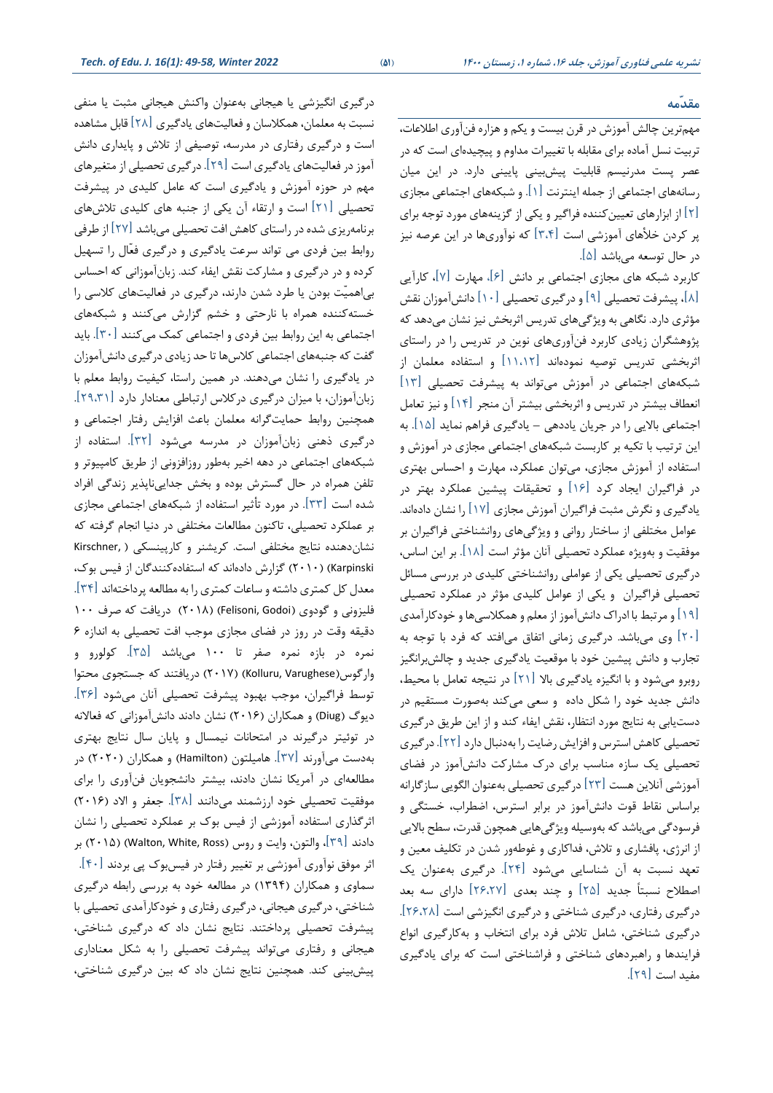**نشریه علمی فناوری آموزش، جلد ،16 شماره ،1 زمستان <sup>1400</sup> )**51**(** *2022 Winter 49-58, :)1(16 .J .Edu of .Tech*

#### **مقدّمه**

مهم ترین چالش آموزش در قرن بیست و یکم و هزاره فن آوری اطالعات، تربیت نسل آماده برای مقابله با تغییرات مداوم و پیچیدهای است که در عصر پست مدرنیسم قابلیت پیش بینی پایینی دارد. در این میان رسانه های اجتماعی از جمله اینترنت ]1[. و شبکه های اجتماعی مجازی ]2[ از ابزارها ی تعیینکننده فراگیر و یکی از گزینههای مورد توجه برای یر کردن خلأهای آموزشی است [۳،۴] که نوآوریها در این عرصه نیز در حال توسعه میباشد ]5[.

کاربرد شبکه های مجاز ی اجتماعی بر دانش ]6[ ، مهارت ]7[ ، کارآیی ]8[، پیشرفت تحصیلی ]9[ و درگیر ی تحصیلی ]10[ دانش آموزان نقش مؤثر ی دارد. نگاهی به ویژگیهای تدر یس اثربخش نیز نشان میدهد که پژوهشگران زیادی کاربرد فنآور ی های نوین در تدریس را در راستای اثربخشی تدریس توصیه نموده اند ]11،12[ و استفاده معلمان از شبکه های اجتماعی در آموزش می تواند به پیشرفت تحصیلی ]13[ انعطاف بیشتر در تدریس و اثربخشی بیشتر آن منجر ]14[ و نیز تعامل اجتماعی باالیی را در جریان یاددهی – یادگیری فراهم نماید ]15[. به این ترتیب با تکیه بر کاربست شبکههای اجتماعی مجازی در آموزش و استفاده از آموزش مجازی، می توان عملکرد ، مهارت و احساس بهتر ی در فراگیران ایجاد کرد ]16[ و تحقیقات پیشین عملکرد بهتر در یادگیری و نگرش مثبت فراگیران آموزش مجازی  $\lceil 1$  را نشان دادهاند. عوامل مختلفی از ساختار روانی و ویژگیهای روانشناختی فراگیران بر موفقیت و بهویژه عملکرد تحصیلی آنان مؤثر است ]18[. بر این اساس، درگیری تحصیلی یکی از عواملی روانشناختی کلیدی در بررسی مسائل تحصیلی فراگیران و یکی از عوامل کلیدی مؤثر در عملکرد تحصیلی ]19[ و مرتبط با ادراک دانش آموز از معلم و همکالسی ها و خودکارآمدی ]20[ و ی میباشد. درگیری زمانی اتفاق میافتد که فرد با توجه به تجارب و دانش پیشین خود با موقعیت یادگیری جدید و چالش برانگی ز روبرو میشود و با انگیزه یادگیری باال ]21[ در نتیجه تعامل با محیط، دانش جدید خود را شکل داده و سعی میکند بهصورت مستقیم در دست یابی به نتایج مورد انتظار، نقش ایفاء کند و از این طریق درگیر ی تحصیلی کاهش استرس و افزایش رضا یت را بهدنبال دارد ]22[. درگیری تحصیلی یک سازه مناسب برای درک مشارکت دانش آموز در فضای آموزشی آنالین هست ]23[ درگیری تحصیلی بهعنوان الگویی سازگارانه براساس نقاط قوت دانش آموز در برابر استرس، اضطراب، خستگی و فرسودگی می باشد که بهوسیله ویژگی هایی همچون قدرت، سطح باالیی از انرژ ی، پافشار ی و تالش، فداکار ی و غوطه ور شدن در تکلیف معین و تعهد نسبت به آن شناسایی میشود ]24[. درگیری به عنوان یک اصطالح نسبتاً جدید ]25[ و چند بعدی ]26،27[ دارا ی سه بعد درگیری رفتاری ، درگیری شناختی و درگیری انگیزشی است ] 26،28[ . درگیری شناختی، شامل تلاش فرد برای انتخاب و به کارگیری انواع فرایندها و راهبردهای شناختی و فراشناختی است که برای یادگیری مفید است ]29[.

درگیری انگیزشی یا هیجانی به عنوان واکنش هیجانی مثبت یا منفی نسبت به معلمان، همکلاسان و فعالیتهای یادگیری [28] قابل مشاهده است و درگیری رفتاری در مدرسه، توصیفی از تلاش و پایداری دانش آموز در فعالیت های یادگیری است ]29[. درگیری تحصیلی از متغیرهای مهم در حوزه آموزش و یادگیری است که عامل کلیدی در پیشرفت تحصیلی [۲۱] است و ارتقاء آن یکی از جنبه های کلیدی تلاشهای برنامهریزی شده در راستای کاهش افت تحصیلی میباشد [۲۷] از طرفی روابط بین فردی می تواند سرعت یادگیری و درگیری فعّال را تسهیل کرده و در درگیری و مشارکت نقش ا یفاء کند. زبانآموزانی که احساس بیاهمیّت بودن یا طرد شدن دارند، درگیری در فعالیت های کالسی را خستهکننده همراه با نارحتی و خشم گزارش می کنند و شبکه های اجتماعی به این روابط بین فردی و اجتماعی کمک میکنند ]30[. باید گفت که جنبههای اجتماعی کلاسها تا حد زیادی درگیری دانش آموزان در یادگیری را نشان میدهند. در همین راستا، کیفیت روابط معلم با زبان آموزان، با میزان درگیری درکالس ارتباطی معنادار دارد ]29،31[. همچنین روابط حمایت گرانه معلمان باعث افزایش رفتار اجتماعی و درگیری ذهنی زبانآموزان در مدرسه میشود ]32[. استفاده از شبکه های اجتماعی در دهه اخیر به طور روزافزونی از طریق کامپیوتر و تلفن همراه در حال گسترش بوده و بخش جدایی ناپذی ر زندگی افراد شده است ]33[. در مورد تأثیر استفاده از شبکههای اجتماعی مجازی بر عملکرد تحصیلی، تاکنون مطالعات مختلفی در دنیا انجام گرفته که نشان دهنده نتایج مختلفی است. کریشنر و کارپینسکی ( Kirschner Karpinski( )2010 )گزارش داده اند که استفاده کنندگان از فیس بوک، معدل کل کمتری داشته و ساعات کمتری را به مطالعه پرداخته اند ]34[. فلیزونی و گودوی (Felisoni, Godoi) (۲۰۱۸) دریافت که صرف ۱۰۰ دقیقه وقت در روز در فضای مجازی موجب افت تحصیلی به اندازه ۶ نمره در بازه نمره صفر تا 100 میباشد ]35[ . کولورو و وارگوس)Varughese ,Kolluru( )2017 )دریافتند که جستجوی محتوا توسط فراگیران، موجب بهبود پیشرفت تحصیلی آنان میشود ]36[. دیوگ )Diug )و همکاران )2016( نشان دادند دانش آموزانی که فعاالنه در توئیتر درگیرند در امتحانات نیمسال و پایان سال نتایج بهتر ی بهدست می[ورند [۳۷]. هامیلتون (Hamilton) و همکاران (۲۰۲۰) در مطالعهای در آمریکا نشان دادند، بیشتر دانشجویان فنآوری را برای موفقیت تحصیلی خود ارزشمند میدانند [۳۸]. جعفر و الاد (۲۰۱۶) اثرگذاری استفاده آموزشی از فیس بوک بر عملکرد تحصیلی را نشان دادند [۳۹]، والتون، وایت و روس (Walton, White, Ross) بر اثر موفق نوآ وری آموزشی بر تغییر رفتار در فیسبوک پی بردند ]40[. سماوی و همکاران (۱۳۹۴) در مطالعه خود به بررسی رابطه درگیری شناختی، درگیر ی هیجانی، درگیر ی رفتاری و خودکارآمدی تحصیلی با پیشرفت تحصیلی پرداختند. نتایج نشان داد که درگیر ی شناختی، هیجانی و رفتاری می تواند پیشرفت تحصیلی را به شکل معناداری پیش بینی کند. همچنین نتایج نشان داد که بین درگیری شناختی،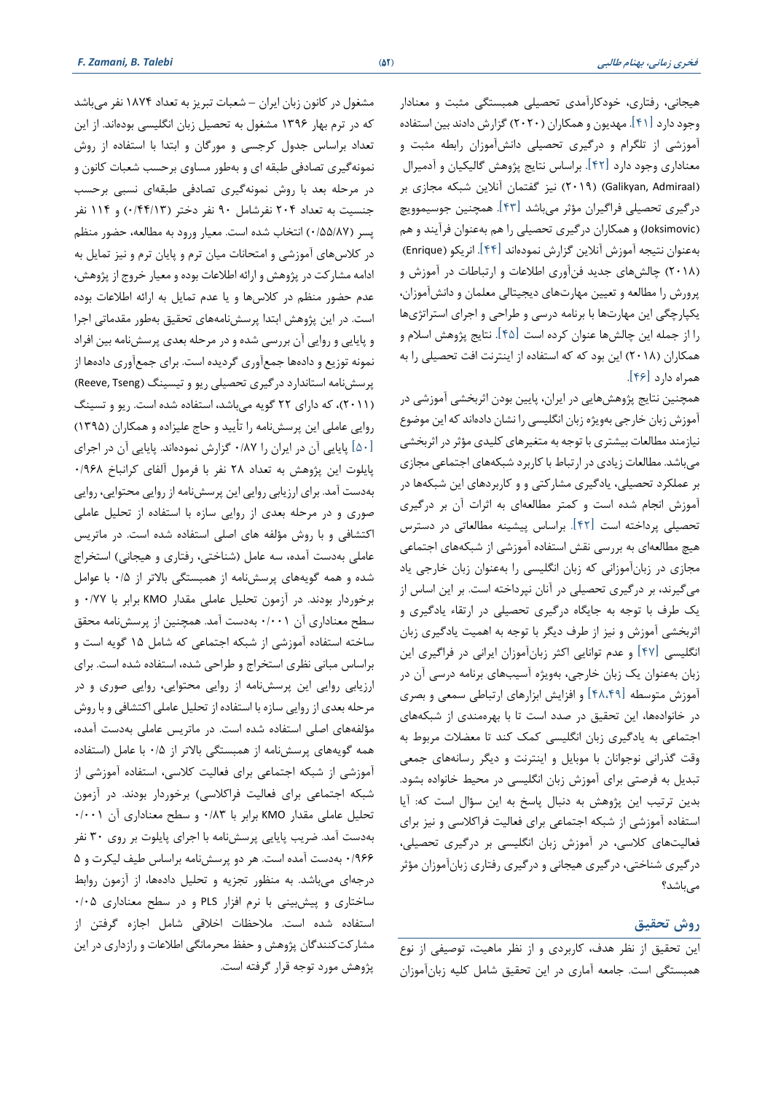**فخری زمانی، بهنام طالبی )**52**(** *Talebi .B ,Zamani .F*

هیجانی، رفتاری، خودکارآمد ی تحصیلی همبستگی مثبت و معنادار وجود دارد ]41[. مهدیون و همکاران )2020( گزارش دادند بین استفاده آموزشی از تلگرام و درگیری تحص یلی دانشآموزان رابطه مثبت و معناداری وجود دارد [۴۲]. براساس نتایج پژوهش گالیکیان و آدمیرال )Admiraal ,Galikyan( )2019 )نیز گفتمان آنالین شبکه مجازی بر درگیری تحصیلی فراگیران مؤثر میباشد ]43[. همچنین جوسیموویچ )Joksimovic )و همکاران درگیری تحصیلی را هم بهعنوان فرآیند و هم بهعنوان نتیجه آموزش آنلاین گزارش نمودهاند [۴۴]. انریکو (Enrique) )2018( چالش های جدید فنآور ی اطالعات و ارتباطات در آموزش و پرورش را مطالعه و تعیین مهارتهای دیجیتالی معلمان و دانش آموزان، یکپارچگی این مهارتها با برنامه درسی و طراحی و اجرای استراتژیها را از جمله این چالش ها عنوان کرده است ]45[. نتایج پژوهش اسالم و همکاران (۲۰۱۸) این بود که که استفاده از اینترنت افت تحصیلی را به همراه دارد ]46[.

همچنین نتایج پژوهش هایی در ایران، پایین بودن اثربخشی آموزشی در آموزش زبان خارجی بهویژه زبان انگلیسی را نشان دادهاند که این موضوع نیازمند مطالعات بیشتری با توجه به متغیرهای کلیدی مؤثر در اثربخشی میباشد. مطالعات زیادی در ارتباط با کاربرد شبکه های اجتماعی مجاز ی بر عملکرد تحصیلی، یادگیری مشارکتی و و کاربردهای این شبکه ها در آموزش انجام شده است و کمتر مطالعه ای به اثرات آن بر درگیر ی تحصیلی پرداخته است ]42[. براساس پیشینه مطالعاتی در دسترس هیچ مطالعه ای به بررسی نقش استفاده آموزشی از شبکه های اجتماعی مجازی در زبان آموزانی که زبان انگلیسی را بهعنوان زبان خارجی یاد میگیرند، بر درگیری تحصیلی در آنان نپرداخته است. بر این اساس از یک طرف با توجه به جایگاه درگیری تحصیلی در ارتقاء یادگیری و اثربخشی آموزش و نیز از طرف دیگر با توجه به اهمیت یادگیری زبان انگلیسی ]47[ و عدم توانایی اکثر زبانآموزان ایرانی در فراگیری این زبان به عنوان یک زبان خارجی، به ویژه آسیب های برنامه درسی آن در آموزش متوسطه [۴۸،۴۹] و افزایش ابزارهای ارتباطی سمعی و بصری در خانوادهها، این تحقیق در صدد است تا با بهرهمندی از شبکههای اجتماعی به یادگیری زبان انگلیسی کمک کند تا معضلات مربوط به وقت گذرانی نوجوانان با موبایل و ای نترنت و دیگر رسانه های جمعی تبدیل به فرصتی برای آموزش زبان انگلیسی در محیط خانواده بشود. بدین ترتیب این پژوهش به دنبال پاسخ به این سؤال است که: آیا استفاده آموزشی از شبکه اجتماعی برای فعالیت فراکلاسی و نیز برای فعالیتهای کالسی، در آموزش زبان انگلیسی بر درگیری تحصیلی، درگیری شناختی، درگیری هیجانی و درگیری رفتاری زبان آموزان مؤثر می باشد؟

## **روش تحقیق**

این تحقیق از نظر هدف، کاربرد ی و از نظر ماهیت، توصیفی از نوع همبستگی است. جامعه آماری در این تحقیق شامل کلیه زبان آموزان

مشغول در کانون زبان ایران – شعبات تبریز به تعداد 1874 نفر میباشد که در ترم بهار 1396 مشغول به تحصیل زبان انگلیسی بودهاند. از این تعداد بر اساس جدول کرجسی و مورگان و ابتدا با استفاده از روش نمونه گیری تصادفی طبقه ای و بهطور مساوی برحسب شعبات کانون و در مرحله بعد با روش نمونهگیری تصادفی طبقهای نسبی برحسب جنسیت به تعداد 204 نفرشامل 90 نفر دختر )0/44/13( و 114 نفر پسر (۰/۵۵/۸۷) انتخاب شده است. معیار ورود به مطالعه، حضور منظم در کلاسهای آموزشی و امتحانات میان ترم و پایان ترم و نیز تمایل به ادامه مشارکت در پژوهش و ارائه اطالعات بوده و معیار خروج از پژوهش، عدم حضور منظم در کالس ها و یا عدم تمایل به ارائه اطالعات بوده است. در این پژوهش ابتدا پرسش نامههای تحقیق بهطور مقدماتی اجرا و پایایی و روایی آن بررسی شده و در مرحله بعد ی پرسش نامه بین افراد نمونه توزیع و دادهها جمع آوری گردیده است. برای جمع آوری داده ها از پرسش نامه استاندارد در گیری تحصیلی ریو و تیسینگ (Reeve, Tseng) )2011(، که دارای 22 گویه می باشد، استفاده شده است. ری و و تسینگ روایی عاملی این پرسش نامه را تأیید و حاج علیزاده و همکاران )1395( یایایی آن در ایران را ۰/۸۷ گزارش نمودهاند. پایایی آن در اجرای  $\lceil \Delta \cdot \rceil$ پایلوت این پژوهش به تعداد 28 نفر با فرمول آلفای کرانباخ 0/968 بهدست آمد. برا ی ارزیابی روایی این پرسش نامه از روایی محتوایی، روایی صوری و در مرحله بعدی از روایی سازه با استفاده از تحلیل عاملی اکتشافی و با روش مؤلفه های اصلی استفاده شده است. در ماتریس عاملی به دست آمده، سه عامل (شناختی، رفتاری و هیجانی) استخراج شده و همه گویههای پرسشنامه از همبستگی بالاتر از ۰/۵ با عوامل برخوردار بودند. در آزمون تحلیل عاملی مقدار KMO برابر با 0/77 و سطح معناداری آن ۰/۰۰۱ بهدست آمد. همچنین از پرسش نامه محقق ساخته استفاده آموزشی از شبکه اجتماعی که شامل 15 گویه است و براساس مبانی نظر ی استخراج و طراحی شده، استفاده شده است. برا ی ارزیابی روایی این پرسش نامه از روا یی محتوایی، روایی صوری و در مرحله بعدی از روایی سازه با استفاده از تحلیل عاملی اکتشافی و با روش مؤلفه های اصلی استفاده شده است. در ماتریس عاملی بهدست آمده، همه گویههای پرسش نامه از همبستگی باالتر از 0/5 با عامل )استفاده آموزشی از شبکه اجتماعی برای فعالیت کلاسی، استفاده آموزشی از شبکه اجتماعی برای فعالیت فراکلاسی) برخوردار بودند. در آزمون تحلیل عاملی مقدار KMO برابر با 0/83 و سطح معنادار ی آن 0/001 بهدست آمد. ضریب پایایی پرسشنامه با اجرای پایلوت بر روی ۳۰ نفر ۰/۹۶۶ به دست آمده است. هر دو پرسش نامه براساس طیف لیکرت و ۵ درجهای می باشد. به منظور تجزیه و تحلیل دادهها، از آزمون روابط ساختاری و پیش بینی با نرم افزار PLS و در سطح معنادار ی 0/05 استفاده شده است. مالحظات اخالقی شامل اجازه گرفتن از مشارکت کنندگان پژوهش و حفظ محرمانگی اطالعات و رازداری در این پژوهش مورد توجه قرار گرفته است.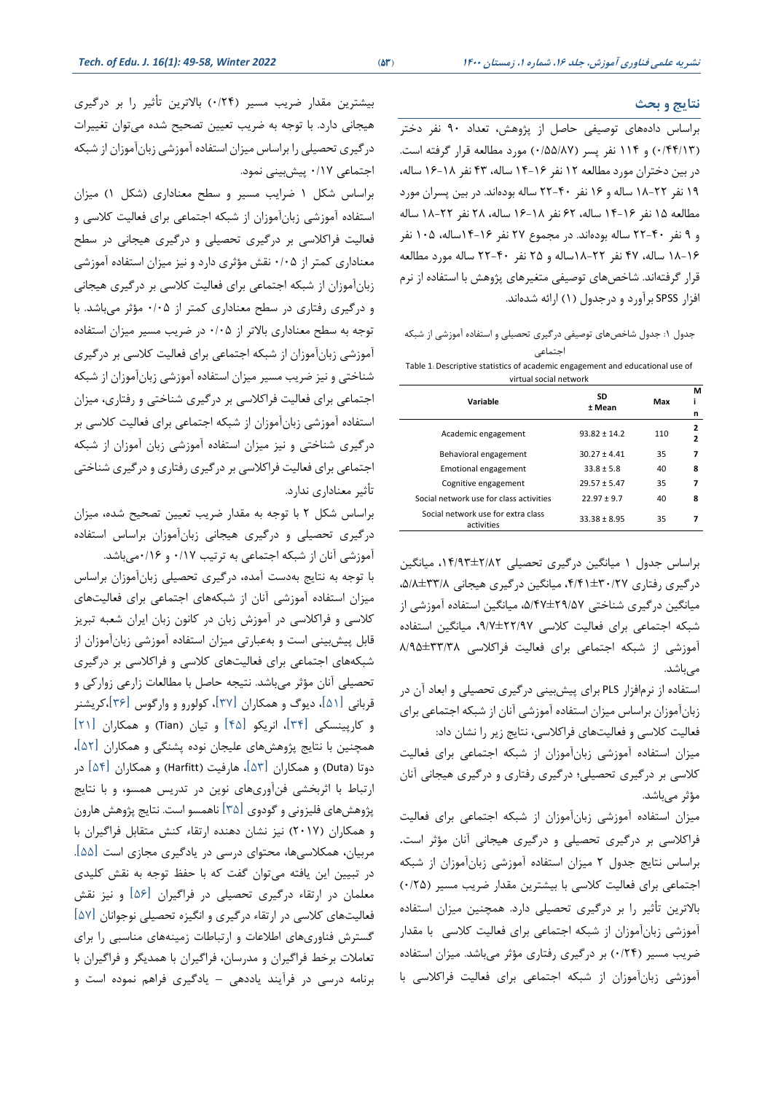#### **نتایج و بحث**

براساس داده های توصیفی حاصل از پژوهش، تعداد 90 نفر دختر )0/44/13( و 114 نفر پسر )0/55/87( مورد مطالعه قرار گرفته است. در بین دختران مورد مطالعه 12 نفر 14-16 ساله، 43 نفر 16-18 ساله، 19 نفر 18-22 ساله و 16 نفر 22-40 ساله بوده اند. در بین پسران مورد مطالعه 15 نفر 14-16 ساله، 62 نفر 16-18 ساله، 28 نفر 18-22 ساله و 9 نفر 22-40 ساله بوده اند. در مجموع 27 نفر 14-16ساله، 105 نفر 18-16 ساله، 47 نفر 18-22ساله و 25 نفر 22-40 ساله مورد مطالعه قرار گرفتهاند. شاخص های توصیفی متغیرهای پژوهش با استفاده از نرم افزار SPSS برآورد و درجدول (١) ارائه شدهاند.

جدول :1 جدول شاخصهای توصیفی درگیر ی تحصیلی و استفاده آموزشی از شبکه اجتماعی

Table 1: Descriptive statistics of academic engagement and educational use of virtual social network

| Variable                                         | SD<br>± Mean     | Max | М<br>i      |
|--------------------------------------------------|------------------|-----|-------------|
| Academic engagement                              | $93.82 \pm 14.2$ | 110 | n<br>2<br>2 |
| Behavioral engagement                            | $30.27 \pm 4.41$ | 35  | 7           |
| Emotional engagement                             | $33.8 \pm 5.8$   | 40  | 8           |
| Cognitive engagement                             | $29.57 \pm 5.47$ | 35  | 7           |
| Social network use for class activities          | $22.97 \pm 9.7$  | 40  | 8           |
| Social network use for extra class<br>activities | $33.38 \pm 8.95$ | 35  |             |

براساس جدول 1 میانگین درگیری تحصیلی ،14/93±2/82 میانگین در گیری رفتاری ۳۰/۲۷±۴٫۴۱، میانگین در گیری هیجانی ۵/۸±۳۳/۸، میانگین درگیری شناختی ±29/57 ،5/47 میانگین استفاده آموزشی از شبکه اجتماعی برای فعالیت کلاسی ۲۲/۹۷±۹/۷، میانگین استفاده آموزشی از شبکه اجتماعی برای فعالیت فراکالسی ±33/38 8/95 میباشد.

استفاده از نرمافزار PLS برای پیش بینی در گیری تحصیلی و ابعاد آن در زبان آموزان براساس میزان استفاده آموزشی آنان از شبکه اجتماعی برای فعالیت کلاسی و فعالیتهای فراکلاسی، نتایج زیر را نشان داد:

میزان استفاده آموزشی زبانآموزان از شبکه اجتماعی برای فعالیت کالسی بر درگیری تحصیلی؛ درگیری رفتاری و درگیری هیجانی آنان مؤثر می باشد.

میزان استفاده آموزشی زبان آموزان از شبکه اجتماعی برای فعالیت فراکالسی بر درگیری تحصیلی و درگیری هیجانی آنان مؤثر است. براساس نتایج جدول 2 میزان استفاده آموزشی زبان آموزان از شبکه اجتماعی برای فعالیت کلاسی با بیشترین مقدار ضریب مسیر (۰/٢۵) باالترین تأثیر را بر درگیری تحصیلی دارد. همچنین میزان استفاده آموزشی زبانآموزان از شبکه اجتماعی برای فعالیت کلاسی با مقدار ضریب مسیر )0/24( بر درگیری رفتاری مؤثر میباشد. میزان استفاده آموزشی زبان آموزان از شبکه اجتماعی برای فعالیت فراکالسی با

بیشترین مقدار ضریب مسیر )/24 0( باالترین تأثیر را بر درگیری هیجانی دارد. با توجه به ضریب تعیین تصحیح شده می توان تغییرات درگیری تحصیلی را براساس میزان استفاده آموزشی زبان آموزان از شبکه اجتماعی 0/17 پیش بینی نمود.

براساس شکل ۱ ضرایب مسیر و سطح معناداری (شکل ۱) میزان استفاده آموزشی زبان آموزان از شبکه اجتماعی برای فعالیت کالسی و فعالیت فراکالسی بر درگیر ی تحصیلی و درگیری هیجانی در سطح معنادار ی کمتر از 0/05 نقش مؤثری دارد و نیز میزان استفاده آموزشی زبانآموزان از شبکه اجتماعی برای فعالیت کلاسی بر درگیری هیجانی و درگیری رفتاری در سطح معناداری کمتر از 0/05 مؤثر میباشد. با توجه به سطح معناداری باالتر از 0/05 در ضریب مسیر میزان استفاده آموزشی زبانآموزان از شبکه اجتماعی برای فعالیت کلاسی بر درگیری شناختی و نیز ضریب مسیر میزان استفاده آموزشی زبانآموزان از شبکه اجتماعی برای فعالیت فراکلاسی بر درگیری شناختی و رفتاری، میزان استفاده آموزشی زبانآموزان از شبکه اجتماعی برا ی فعالیت کالسی بر درگیری شناختی و نیز میزان استفاده آموزشی زبان آموزان از شبکه اجتماعی برای فعالیت فراکلاسی بر درگیری رفتاری و درگیری شناختی تأثیر معناداری ندارد.

براساس شکل 2 با توجه به مقدار ضریب تعیین تصحیح شده، میزان درگیری تحصیلی و درگیری ه یجانی زبانآموزان براساس استفاده آموزشی آنان از شبکه اجتماعی به ترتیب 0/17 و 0/16میباشد. با توجه به نتایج به دست آمده، درگیری تحصیلی زبان آموزان براساس میزان استفاده آموزشی آنان از شبکههای اجتماعی برا ی فعالیت های کلاسی و فراکلاسی در آموزش زبان در کانون زبان ایران شعبه تبریز قابل پیش بینی است و به عبارتی میزان استفاده آموزشی زبان آموزان از شبکه های اجتماعی برای فعالیت های کالسی و فراکالسی بر درگیری تحصیلی آنان مؤثر میباشد. نتیجه حاصل با مطالعات زارعی زوارکی و قربانی ]51[، دیوگ و همکاران ]37[ ، کولورو و وارگوس ]36[ ،کریشنر و کارپینسکی  $\mathsf{I}\mathfrak{r}$ ا، انریکو  $\mathsf{I}\mathfrak{r}$ ا و تیان (Tian) و همکاران  $\mathsf{I}\mathfrak{r}$ همچنین با نتایج پژوهش های علیجان نوده پشنگی و همکاران ]52[، دوتا )Duta )و همکاران ]53[، هارفیت )Harfitt )و همکاران ]54[ در ارتباط با اثربخشی فنآور ی های نوی ن در تدریس همسو، و با نتایج پژوهش های فلیزونی و گودو ی ]35[ ناهمسو است. نتایج پژوهش هارون و همکاران )2017( نیز نشان دهنده ارتقاء کنش متقابل فراگیران با مربیان، همکلاسیها، محتوای درسی در یادگیری مجازی است [۵۵]. در تبیین این یافته میتوان گفت که با حفظ توجه به نقش کلیدی معلمان در ارتقاء درگ یری تحصیلی در فراگیران ]56[ و نیز نقش فعالیتهای کالسی در ارتقاء درگیری و انگیزه تحصیلی نوجوانان ]57[ گسترش فناوری های اطالعات و ارتباطات زمینههای مناسبی را برا ی تعامالت برخط فراگیران و مدرسان، فراگیران با همدیگر و فراگیران با برنامه درسی در فرآیند یاددهی – یادگیری فراهم نموده است و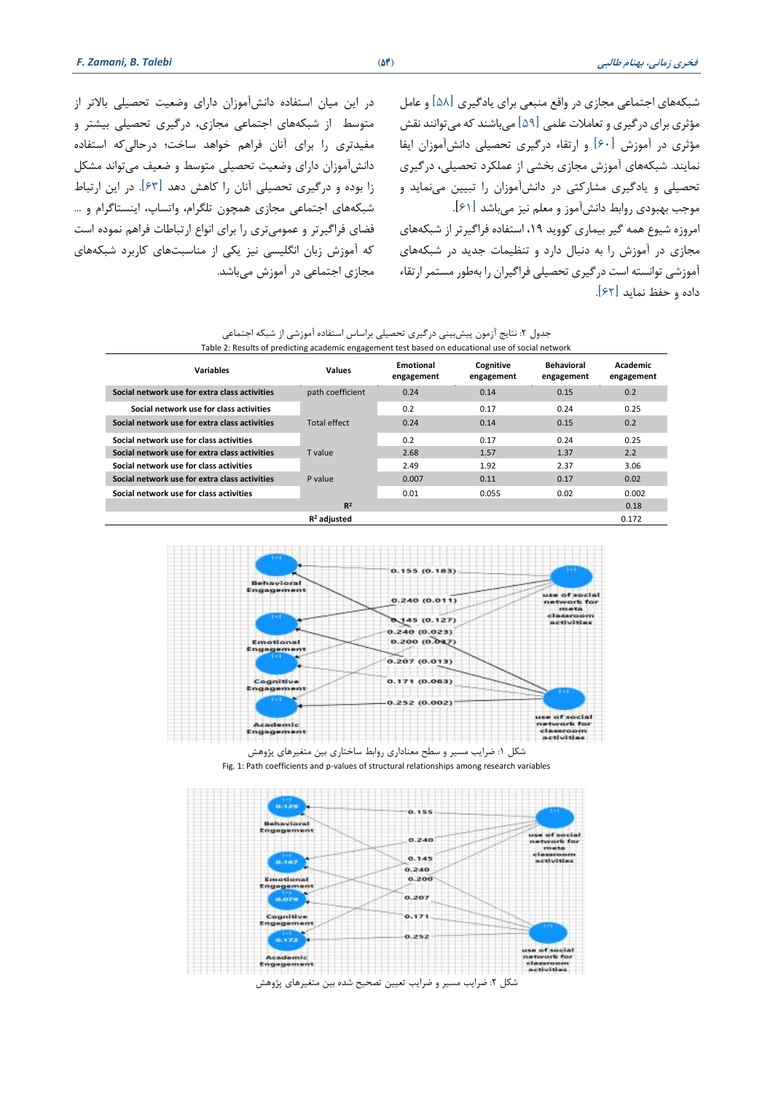شبکه های اجتماعی مجازی در واقع منبعی برای یادگیری ]58[ و عامل مؤثری برای در گیری و تعاملات علمی  $\lceil\Delta$ ا میباشند که میتوانند نقش مؤثری در آموزش  $[s\cdot]$  و ارتقاء درگیری تحصیلی دانشآموزان ایفا نمایند. شبکه های آموزش مجاز ی بخشی از عملکرد تحصیلی، درگ یری تحصیلی و یادگیری مشارکتی در دانش آموزان را تبیین می نماید و موجب بهبودی روابط دانش آموز و معلم نیز میباشد [۶۱]. امروزه شیوع همه گیر بیماری کووید ،19 استفاده فراگیرتر از شبکه های

مجازی در آموزش را به دنبال دارد و تنظیمات جدید در شبکه های آموزشی توانسته است درگیر ی تحصیلی فراگیران را به طور مستمر ارتقاء داده و حفظ نماید ] 62[.

در این میان استفاده دانش آموزان دارای وضعیت تحصیلی بالاتر از متوسط از شبکههای اجتماعی مجازی، درگیری تحصیلی بیشتر و مفیدتری را برای آنان فراهم خواهد ساخت؛ درحالیکه استفاده دانش آموزان دارا ی وضعیت تحصیلی متوسط و ضعیف می تواند مشکل زا بوده و درگیر ی تحصیلی آنان را کاهش دهد ]63[. در این ارتباط شبکه های اجتماعی مجازی همچون تلگرام، واتساپ، اینستاگرام و ... فضای فراگیرتر و عمومیتری را برای انواع ارتباطات فراهم نموده است که آموزش زبان انگلیسی نیز یکی از مناسبت های کاربرد شبکه های مجازی اجتماعی در آموزش می باشد.

|  | جدول ۲: نتایج آزمون پیشبینی درگیری تحصیلی براساس استفاده آموزشی از شبکه اجتماعی |  |  |  |  |  |
|--|---------------------------------------------------------------------------------|--|--|--|--|--|
|  |                                                                                 |  |  |  |  |  |

| Table 2: Results of predicting academic engagement test based on educational use of social network |                     |                         |                         |                                 |                        |  |  |  |  |
|----------------------------------------------------------------------------------------------------|---------------------|-------------------------|-------------------------|---------------------------------|------------------------|--|--|--|--|
| Variables                                                                                          | Values              | Emotional<br>engagement | Cognitive<br>engagement | <b>Behavioral</b><br>engagement | Academic<br>engagement |  |  |  |  |
| Social network use for extra class activities                                                      | path coefficient    | 0.24                    | 0.14                    | 0.15                            | 0.2                    |  |  |  |  |
| Social network use for class activities                                                            |                     | 0.2                     | 0.17                    | 0.24                            | 0.25                   |  |  |  |  |
| Social network use for extra class activities                                                      | <b>Total effect</b> | 0.24                    | 0.14                    | 0.15                            | 0.2                    |  |  |  |  |
| Social network use for class activities                                                            |                     | 0.2                     | 0.17                    | 0.24                            | 0.25                   |  |  |  |  |
| Social network use for extra class activities                                                      | T value             | 2.68                    | 1.57                    | 1.37                            | 2.2                    |  |  |  |  |
| Social network use for class activities                                                            |                     | 2.49                    | 1.92                    | 2.37                            | 3.06                   |  |  |  |  |
| Social network use for extra class activities                                                      | P value             | 0.007                   | 0.11                    | 0.17                            | 0.02                   |  |  |  |  |
| Social network use for class activities                                                            |                     | 0.01                    | 0.055                   | 0.02                            | 0.002                  |  |  |  |  |
|                                                                                                    | $R^2$               |                         |                         |                                 | 0.18                   |  |  |  |  |
|                                                                                                    | $R2$ adiusted       |                         |                         |                                 | 0.172                  |  |  |  |  |







شکل ۲: ضرایب مسیر و ضرایب تعیین تصحیح شده بین متغیرهای پژوهش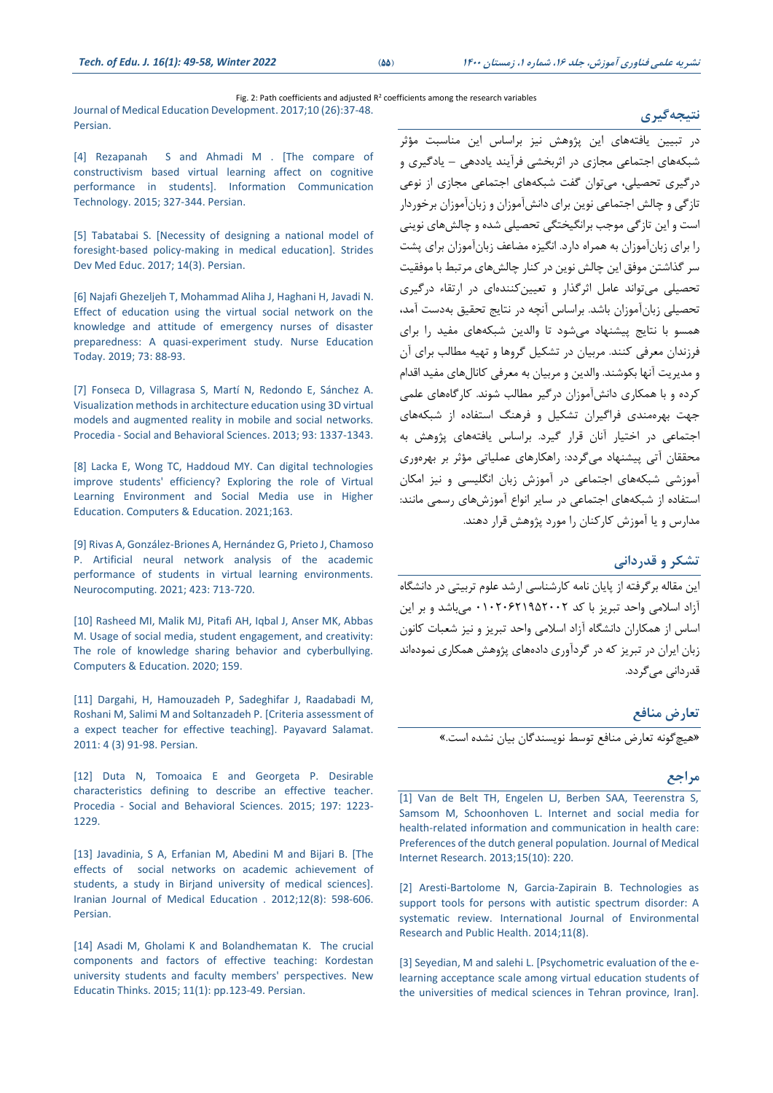# Fig. 2: Path coefficients and adjusted  $R^2$  coefficients among the research variables

[Journal of Medical Education Development. 2017;10](http://zums.ac.ir/edujournal/article-1-784-fa.html) (26):37-48. [Persian.](http://zums.ac.ir/edujournal/article-1-784-fa.html)

[\[4\] Rezapanah S and Ahmadi M .](https://www.sid.ir/fa/journal/ViewPaper.aspx?ID=258014‎) [The compare of [constructivism based virtual learning affect on cognitive](https://www.sid.ir/fa/journal/ViewPaper.aspx?ID=258014‎)  [performance in students\]. Information Communication](https://www.sid.ir/fa/journal/ViewPaper.aspx?ID=258014‎)  [Technology.](https://www.sid.ir/fa/journal/ViewPaper.aspx?ID=258014‎) 2015; 327-344. Persian.

[5] Tabatabai S. [Necessity of designing a national model of [foresight-based policy-making in medical education\].](https://doi.org/10.5812/sdme.67446‎) Strides [Dev Med Educ. 2017; 14\(3\).](https://doi.org/10.5812/sdme.67446‎) Persian.

[\[6\] Najafi Ghezeljeh T, Mohammad Aliha J, Haghani H, Javadi](https://doi.org/10.1016/j.nedt.2018.12.001‎) N. [Effect of education using the virtual social network on the](https://doi.org/10.1016/j.nedt.2018.12.001‎)  [knowledge and attitude of emergency nurses of disaster](https://doi.org/10.1016/j.nedt.2018.12.001‎)  [preparedness: A quasi-experiment study. Nurse Education](https://doi.org/10.1016/j.nedt.2018.12.001‎)  [Today. 2019;](https://doi.org/10.1016/j.nedt.2018.12.001‎) 73: 88-93.

[7] Fonseca D, Villagrasa [S, Martí N, Redondo E, Sánchez A.](https://doi.org/10.1016/j.sbspro.2013.10.040.‎)  [Visualization methods in architecture education using 3D virtual](https://doi.org/10.1016/j.sbspro.2013.10.040.‎)  [models and augmented reality in mobile and social networks.](https://doi.org/10.1016/j.sbspro.2013.10.040.‎)  Procedia - [Social and Behavioral Sciences. 2013;](https://doi.org/10.1016/j.sbspro.2013.10.040.‎) 93: 1337-1343.

[\[8\] Lacka E, Wong TC, Haddoud MY. Can digital technologies](https://doi.org/10.1016/j.compedu.2020.104099.‎)  [improve students' efficiency? Exploring the role of Virtual](https://doi.org/10.1016/j.compedu.2020.104099.‎)  [Learning Environment and Social Media use in Higher](https://doi.org/10.1016/j.compedu.2020.104099.‎)  [Education. Computers & Education. 2021;163.](https://doi.org/10.1016/j.compedu.2020.104099.‎)

[\[9\] Rivas A, González-Briones A, Hernández G, Prieto J, Chamoso](https://doi.org/10.1016/j.neucom.2020.02.125.‎) [P. Artificial neural network analysis of the academic](https://doi.org/10.1016/j.neucom.2020.02.125.‎)  [performance of students in virtual learning environments.](https://doi.org/10.1016/j.neucom.2020.02.125.‎)  [Neurocomputing. 2021;](https://doi.org/10.1016/j.neucom.2020.02.125.‎) 423: 713-720.

[\[10\] Rasheed MI, Malik MJ, Pitafi AH, Iqbal J, Anser MK, Abbas](https://doi.org/10.1016/j.compedu.2020.104002.‎)  [M. Usage of social media, student engagement, and creativity:](https://doi.org/10.1016/j.compedu.2020.104002.‎)  [The role of knowledge sharing behavior and cyberbullying.](https://doi.org/10.1016/j.compedu.2020.104002.‎)  [Computers & Education. 2020;](https://doi.org/10.1016/j.compedu.2020.104002.‎) 159.

[\[11\] Dargahi, H, Hamouzadeh](http://payavard.tums.ac.ir/article-1-98-fa.html.‎) P, Sadeghifar J, Raadabadi M, Roshani M, Salimi M and Soltanzadeh [P. \[Criteria assessment of](http://payavard.tums.ac.ir/article-1-98-fa.html.‎)  [a expect teacher for effective teaching\].](http://payavard.tums.ac.ir/article-1-98-fa.html.‎) Payavard Salamat. [2011: 4 \(3\)](http://payavard.tums.ac.ir/article-1-98-fa.html.‎) 91-98. Persian.

[12] Duta N, Tomoaica E [and Georgeta P. Desirable](http://dx.doi.org/https:/doi.org/10.1016/j.sbspro.2015.07.383.‎)  characteristics defining to [describe an effective teacher.](http://dx.doi.org/https:/doi.org/10.1016/j.sbspro.2015.07.383.‎) Procedia - [Social and Behavioral Sciences.](http://dx.doi.org/https:/doi.org/10.1016/j.sbspro.2015.07.383.‎) 2015; 197: 1223- [1229.](http://dx.doi.org/https:/doi.org/10.1016/j.sbspro.2015.07.383.‎)

[\[13\] Javadinia, S](http://ijme.mui.ac.ir/article-1-1994-en.html.‎) A, Erfanian M, Abedini M and Bijari B. [The [effects of social networks on academic achievement of](http://ijme.mui.ac.ir/article-1-1994-en.html.‎)  [students, a study in Birjand university of medical sciences\].](http://ijme.mui.ac.ir/article-1-1994-en.html.‎) [Iranian Journal of Medical Education](http://ijme.mui.ac.ir/article-1-1994-en.html.‎) . 2012;12(8): 598-606. [Persian.](http://ijme.mui.ac.ir/article-1-1994-en.html.‎)

[\[14\] Asadi M, Gholami K and Bolandhematan](http://dx.doi.org/10.22051/jontoe.2015.393.‎) K. The crucial [components and factors of effective teaching: Kordestan](http://dx.doi.org/10.22051/jontoe.2015.393.‎)  [university students and faculty members' perspectives. New](http://dx.doi.org/10.22051/jontoe.2015.393.‎)  [Educatin Thinks.](http://dx.doi.org/10.22051/jontoe.2015.393.‎) 2015; 11(1): pp.123-49. Persian.

در تبیین یافتههای این پژوهش نیز براساس این مناسبت مؤثر شبکه های اجتماعی مجاز ی در اثربخشی فرآیند یاددهی – یادگیر ی و درگیری تحصیلی، می توان گفت شبکه های اجتماعی مجاز ی از نوعی تازگی و چالش اجتماعی نوین برای دانشآموزان و زبانآموزان برخوردار است و این تازگی موجب برانگیختگی تحصیلی شده و چالش های نوینی را برای زبانآموزان به همراه دارد. انگیزه مضاعف زبانآموزان برای پشت سر گذاشتن موفق این چالش نوین در کنار چالش های مرتبط با موفقیت تحصیلی میتواند عامل اثرگذار و تعیینکنندهای در ارتقاء درگیری تحصیلی زبانآموزان باشد. براساس آنچه در نتایج تحقیق بهدست آمد، همسو با نتایج پیشنهاد میشود تا والدین شبکه های مفید را برا ی فرزندان معرفی کنند. مربیان در تشکیل گروها و تهیه مطالب برای آن و مدیریت آنها بکوشند. والدین و مربیان به معرفی کانال های مفید اقدام کرده و با همکاری دانش آموزان درگیر مطالب شوند. کارگاههای علمی جهت بهرهمندی فراگیران تشکیل و فرهنگ استفاده از شبکههای اجتماعی در اختیار آنان قرار گیرد . براساس یافته های پژوهش به محققان آتی پیشنهاد می گردد: راهکارهای عملیاتی مؤثر بر بهرهوری آموزشی شبکه های اجتماعی در آموزش زبان انگلیسی و نیز امکان استفاده از شبکههای اجتماعی در سا یر انواع آموزش های رسمی مانند: مدارس و یا آموزش کارکنان را مورد پژوهش قرار دهند.

### **تشکر و قدردانی**

این مقاله برگرفته از پایان نامه کارشناسی ارشد علوم تربیتی در دانشگاه آزاد اسالمی واحد تبریز با کد 01020621952002 می باشد و بر این اساس از همکاران دانشگاه آزاد اسلامی واحد تبریز و نیز شعبات کانون زبان ایران در تبریز که در گردآوری دادههای پژوهش همکاری نموده اند قدردانی می گردد.

# **تعارض منافع**  »هیچگونه تعارض منافع توسط نویسندگان بیان نشده است.«

## **مراجع**

[\[1\] Van de Belt TH, Engelen LJ, Berben SAA, Teerenstra S,](http://www.ncbi.nlm.nih.gov/pmc/articles/PMC3806385/‎)  [Samsom M, Schoonhoven L. Internet and social media for](http://www.ncbi.nlm.nih.gov/pmc/articles/PMC3806385/‎)  [health-related information and communication in health care:](http://www.ncbi.nlm.nih.gov/pmc/articles/PMC3806385/‎)  [Preferences of the dutch general population. Journal of Medical](http://www.ncbi.nlm.nih.gov/pmc/articles/PMC3806385/‎)  [Internet Research. 2013;15\(10\):](http://www.ncbi.nlm.nih.gov/pmc/articles/PMC3806385/‎) 220.

[\[2\] Aresti-Bartolome N, Garcia-Zapirain B. Technologies as](http://www.mdpi.com/1660-4601/11/8/7767%20‎)  [support tools for persons with autistic spectrum disorder: A](http://www.mdpi.com/1660-4601/11/8/7767%20‎)  [systematic review. International Journal of Environmental](http://www.mdpi.com/1660-4601/11/8/7767%20‎)  [Research and Public Health. 2014;11\(8\).](http://www.mdpi.com/1660-4601/11/8/7767%20‎)

[3] Seyedian, M and salehi [L. \[Psychometric evaluation of the e](http://zums.ac.ir/edujournal/article-1-784-fa.html)[learning acceptance scale among virtual education students of](http://zums.ac.ir/edujournal/article-1-784-fa.html)  [the universities of medical sciences in Tehran province, Iran\].](http://zums.ac.ir/edujournal/article-1-784-fa.html)

**نتیجهگیری**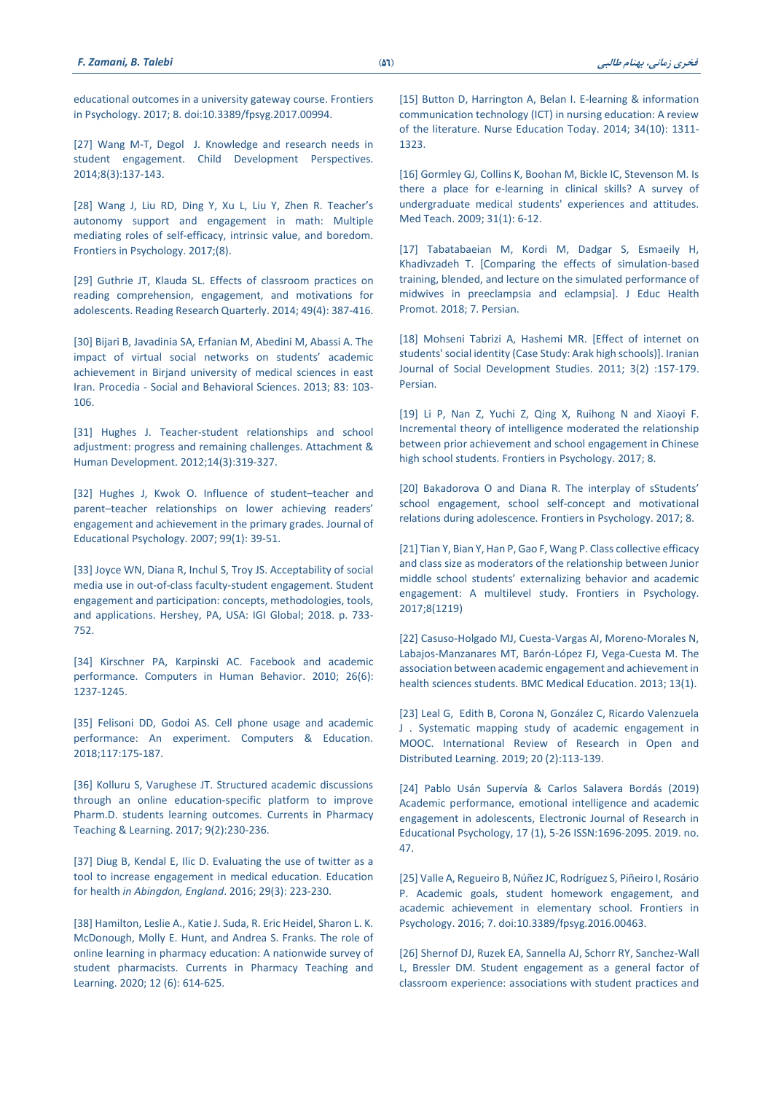[educational outcomes in a university gateway course. Frontiers](https://www.frontiersin.org/article/10.3389/fpsyg.2017.00994‎)  in Psychology. 2017; [8. doi:10.3389/fpsyg.2017.00994.](https://www.frontiersin.org/article/10.3389/fpsyg.2017.00994‎)

[27] Wang M-T, Degol J. [Knowledge and research needs in](https://doi.org/10.1111/cdep.12073.‎)  [student engagement. Child Development Perspectives.](https://doi.org/10.1111/cdep.12073.‎)  [2014;8\(3\):137-143.](https://doi.org/10.1111/cdep.12073.‎)

[28] [Wang J, Liu RD, Ding Y, Xu L, Liu Y, Zhen R. Teacher's](https://doi.org/10.3389/fpsyg.2017.01006.‎)  [autonomy support and engagement in math: Multiple](https://doi.org/10.3389/fpsyg.2017.01006.‎)  [mediating roles of self-efficacy, intrinsic value, and boredom.](https://doi.org/10.3389/fpsyg.2017.01006.‎)  [Frontiers in Psychology. 2017;\(8\).](https://doi.org/10.3389/fpsyg.2017.01006.‎)

[29] Guthrie JT, Klauda SL. Effects of classroom practices on [reading comprehension, engagement, and motivations for](http://dx.doi.org/10.1002/rrq.81)  [adolescents. Reading Research Quarterly. 2014;](http://dx.doi.org/10.1002/rrq.81) 49(4): 387-416.

[\[30\] Bijari B, Javadinia SA, Erfanian M, Abedini M, Abassi A. The](http://www.sciencedirect.com/science/article/pii/S1877042813010501‎)  [impact of virtual social networks on s](http://www.sciencedirect.com/science/article/pii/S1877042813010501‎)tudents' academic [achievement in Birjand university of medical sciences in east](http://www.sciencedirect.com/science/article/pii/S1877042813010501‎)  Iran. Procedia - [Social and Behavioral Sciences. 2013;](http://www.sciencedirect.com/science/article/pii/S1877042813010501‎) 83: 103- [106.](http://www.sciencedirect.com/science/article/pii/S1877042813010501‎)

[\[31\] Hughes J. Teacher-student relationships and school](https://doi.org/10.1080/14616734.2012.672288.‎)  [adjustment: progress and remaining challenges. Attachment &](https://doi.org/10.1080/14616734.2012.672288.‎)  [Human Development. 2012;14\(3\):319-327.](https://doi.org/10.1080/14616734.2012.672288.‎)

[\[32\] Hughes J, Kwok O. Influence of student](https://doi.org/10.1037/0022-663.99.1.39.‎)–teacher and parent–[teacher relationships on lower achieving r](https://doi.org/10.1037/0022-663.99.1.39.‎)eaders' [engagement and achievement in the primary grades. Journal of](https://doi.org/10.1037/0022-663.99.1.39.‎)  [Educational Psychology. 2007;](https://doi.org/10.1037/0022-663.99.1.39.‎) 99(1): 39-51.

[\[33\] Joyce WN, Diana R, Inchul S, Troy JS. Acceptability of social](http://services.igi-global.com/resolvedoi/resolve.aspx?doi=10.4018/978-1-5225-2584-4.ch037‎)  [media use in out-of-class faculty-student engagement.](http://services.igi-global.com/resolvedoi/resolve.aspx?doi=10.4018/978-1-5225-2584-4.ch037‎) Student [engagement and participation: concepts, methodologies, tools,](http://services.igi-global.com/resolvedoi/resolve.aspx?doi=10.4018/978-1-5225-2584-4.ch037‎)  [and applications. Hershey, PA, USA: IGI Global; 2018. p. 733-](http://services.igi-global.com/resolvedoi/resolve.aspx?doi=10.4018/978-1-5225-2584-4.ch037‎) [752.](http://services.igi-global.com/resolvedoi/resolve.aspx?doi=10.4018/978-1-5225-2584-4.ch037‎)

[\[34\] Kirschner PA, Karpinski AC. Facebook](https://digitalcommons.kent.edu/flapubs/72.‎) and academic [performance. Computers in Human Behavior.](https://digitalcommons.kent.edu/flapubs/72.‎) 2010; 26(6): [1237-1245.](https://digitalcommons.kent.edu/flapubs/72.‎)

[35] Felisoni DD, Godoi [AS. Cell phone usage and academic](http://www.sciencedirect.com/science/article/pii/S0360131517302324‎)  [performance: An experiment. Computers & Education.](http://www.sciencedirect.com/science/article/pii/S0360131517302324‎)  [2018;117:175-187.](http://www.sciencedirect.com/science/article/pii/S0360131517302324‎)

[\[36\] Kolluru S, Varughese JT. Structured academic discussions](https://doi.org/10.1016/j.cptl.2016.11.022‎)  [through an online education-specific platform to improve](https://doi.org/10.1016/j.cptl.2016.11.022‎)  [Pharm.D. students learning outcomes. Currents in Pharmacy](https://doi.org/10.1016/j.cptl.2016.11.022‎)  [Teaching & Learning. 2017;](https://doi.org/10.1016/j.cptl.2016.11.022‎) 9(2):230-236.

[37] Diug [B, Kendal E, Ilic D. Evaluating the use of twitter as a](https://doi.org/10.4103/1357-6283.204216.%20‎)  [tool to increase engagement in medical education. Education](https://doi.org/10.4103/1357-6283.204216.%20‎)  for health *[in Abingdon, England](https://doi.org/10.4103/1357-6283.204216.%20‎)*. 2016; 29(3): 223-230.

[\[38\] Hamilton, Leslie A., Katie J. Suda, R. Eric Heidel, Sharon L. K.](http://dx.doi.org/https:/doi.org/10.1016/j.cptl.2020.01.026.‎)  [McDonough, Molly E. Hunt, and Andrea S. Franks. The role of](http://dx.doi.org/https:/doi.org/10.1016/j.cptl.2020.01.026.‎)  [online learning in pharmacy education: A nationwide survey of](http://dx.doi.org/https:/doi.org/10.1016/j.cptl.2020.01.026.‎)  [student pharmacists. Currents in Pharmacy Teaching and](http://dx.doi.org/https:/doi.org/10.1016/j.cptl.2020.01.026.‎)  [Learning. 2020;](http://dx.doi.org/https:/doi.org/10.1016/j.cptl.2020.01.026.‎) 12 (6): 614-625.

[\[15\] Button D, Harrington A, Belan](https://doi.org/10.1016/j.nedt.2013.05.002‎) I. E-learning & information [communication technology \(ICT\) in nursing education: A review](https://doi.org/10.1016/j.nedt.2013.05.002‎)  [of the literature. Nurse Education](https://doi.org/10.1016/j.nedt.2013.05.002‎) Today. 2014; 34(10): 1311- [1323.](https://doi.org/10.1016/j.nedt.2013.05.002‎)

[\[16\] Gormley GJ, Collins K, Boohan M, Bickle](https://doi.org/10.1080/01421590802334317‎) IC, Stevenson M. Is [there a place for e-learning in clinical skills? A survey of](https://doi.org/10.1080/01421590802334317‎)  [undergraduate medical students' experiences and attitudes.](https://doi.org/10.1080/01421590802334317‎)  Med Teach. [2009; 31\(1\): 6-12.](https://doi.org/10.1080/01421590802334317‎)

[\[17\] Tabatabaeian M, Kordi M, Dadgar S, Esmaeily H,](https://doi.org/10.4103/jehp.jehp_116_17‎)  [Khadivzadeh T. \[Comparing the effects of simulation-based](https://doi.org/10.4103/jehp.jehp_116_17‎)  [training, blended, and lecture on the simulated performance of](https://doi.org/10.4103/jehp.jehp_116_17‎)  [midwives in preeclampsia and eclampsia\]. J Educ Health](https://doi.org/10.4103/jehp.jehp_116_17‎)  [Promot.](https://doi.org/10.4103/jehp.jehp_116_17‎) 2018; 7. Persian.

[\[18\] Mohseni Tabrizi A,](https://www.sid.ir/fa/journal/ViewPaper.aspx?ID=200825‎) Hashemi MR. [Effect of internet on [students' social identity \(Case Study: Arak high schools\)\].](https://www.sid.ir/fa/journal/ViewPaper.aspx?ID=200825‎) Iranian [Journal of Social Development Studies.](https://www.sid.ir/fa/journal/ViewPaper.aspx?ID=200825‎) 2011; 3(2) :157-179. [Persian.](https://www.sid.ir/fa/journal/ViewPaper.aspx?ID=200825‎)

[\[19\] Li P, Nan Z, Yuchi Z, Qing X, Ruihong N](http://dx.doi.org/10.3389/fpsyg.2017.01703.‎) and Xiaoyi F. [Incremental theory of intelligence moderated the relationship](http://dx.doi.org/10.3389/fpsyg.2017.01703.‎)  [between prior achievement and school engagement in Chinese](http://dx.doi.org/10.3389/fpsyg.2017.01703.‎)  high school students. [Frontiers in Psychology. 2017;](http://dx.doi.org/10.3389/fpsyg.2017.01703.‎) 8.

[\[20\] Bakadorova O and Diana R. The interplay of s](http://dx.doi.org/10.3389/fpsyg.2017.02171.‎)Students' [school engagement, school self-concept and motivational](http://dx.doi.org/10.3389/fpsyg.2017.02171.‎)  [relations during adolescence.](http://dx.doi.org/10.3389/fpsyg.2017.02171.‎) Frontiers in Psychology. 2017; 8.

[\[21\] Tian Y, Bian Y, Han P, Gao F, Wang P. Class collective efficacy](http://www.ncbi.nlm.nih.gov/pmc/articles/PMC5513925/‎)  [and class size as moderators of the relationship between Junior](http://www.ncbi.nlm.nih.gov/pmc/articles/PMC5513925/‎)  middle school students' [externalizing behavior and academic](http://www.ncbi.nlm.nih.gov/pmc/articles/PMC5513925/‎)  [engagement: A multilevel study. Frontiers in Psychology.](http://www.ncbi.nlm.nih.gov/pmc/articles/PMC5513925/‎)  [2017;8\(1219\)](http://www.ncbi.nlm.nih.gov/pmc/articles/PMC5513925/‎)

[\[22\] Casuso-Holgado MJ, Cuesta-Vargas AI, Moreno-Morales N,](https://doi.org/10.1186/1472-6920-13-33‎)  [Labajos-Manzanares MT, Barón-López FJ, Vega-Cuesta M. The](https://doi.org/10.1186/1472-6920-13-33‎)  [association between academic engagement and achievement in](https://doi.org/10.1186/1472-6920-13-33‎)  [health sciences students. BMC Medical Education. 2013;](https://doi.org/10.1186/1472-6920-13-33‎) 13(1).

[23] Leal G, Edith B, Corona N, González C, [Ricardo Valenzuela](https://eric.ed.gov/?id=EJ1214398.‎)  J . Systematic mapping study [of academic engagement in](https://eric.ed.gov/?id=EJ1214398.‎)  MOOC. [International Review of Research in Open](https://eric.ed.gov/?id=EJ1214398.‎) and [Distributed Learning. 2019; 20 \(2\):113-139.](https://eric.ed.gov/?id=EJ1214398.‎)

[\[24\] Pablo Usán Supervía & Carlos Salavera Bordás](http://dx.doi.org/10.25115/ejrep.v17i47.1879.‎) (2019) [Academic performance, emotional intelligence and academic](http://dx.doi.org/10.25115/ejrep.v17i47.1879.‎)  [engagement in adolescents, Electronic Journal of Research in](http://dx.doi.org/10.25115/ejrep.v17i47.1879.‎)  [Educational Psychology, 17 \(1\), 5-26 ISSN:1696-2095. 2019. no.](http://dx.doi.org/10.25115/ejrep.v17i47.1879.‎)  [47.](http://dx.doi.org/10.25115/ejrep.v17i47.1879.‎)

[\[25\] Valle A, Regueiro B, Núñez JC, Rodríguez S, Piñeiro I, Rosário](http://www.ncbi.nlm.nih.gov/pmc/articles/PMC4814489/%20‎)  [P. Academic goals, student homework engagement, and](http://www.ncbi.nlm.nih.gov/pmc/articles/PMC4814489/%20‎)  [academic achievement in elementary school. Frontiers in](http://www.ncbi.nlm.nih.gov/pmc/articles/PMC4814489/%20‎)  Psychology. 2016; 7. [doi:10.3389/fpsyg.2016.00463.](http://www.ncbi.nlm.nih.gov/pmc/articles/PMC4814489/%20‎)

[\[26\] Shernof DJ, Ruzek EA, Sannella](https://www.frontiersin.org/article/10.3389/fpsyg.2017.00994‎) AJ, Schorr RY, Sanchez-Wall [L, Bressler DM. Student engagement as a general factor of](https://www.frontiersin.org/article/10.3389/fpsyg.2017.00994‎)  [classroom experience: associations with student practices and](https://www.frontiersin.org/article/10.3389/fpsyg.2017.00994‎)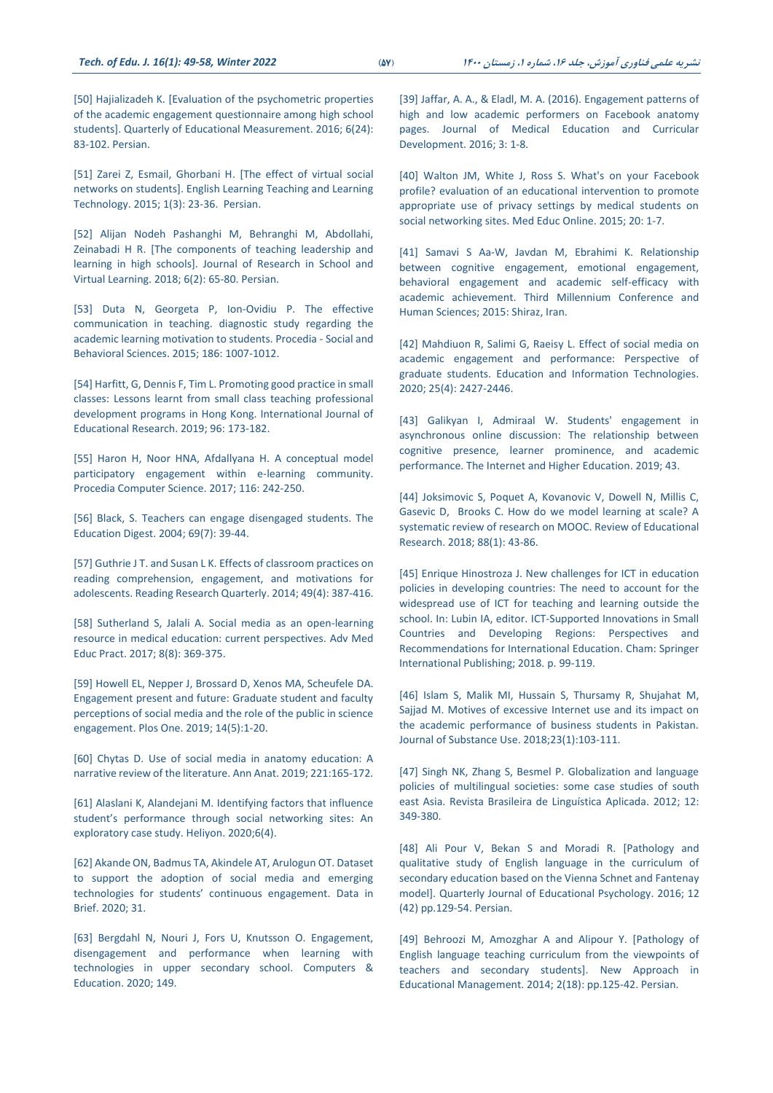[\[50\] Hajializadeh K. \[Evaluation of the psychometric properties](https://doi.org/10.22054/jem.2017.17317.1445‎)  [of the academic engagement questionnaire among high school](https://doi.org/10.22054/jem.2017.17317.1445‎)  students]. Quarterly of [Educational Measurement. 2016;](https://doi.org/10.22054/jem.2017.17317.1445‎) 6(24): 83-102. [Persian.](https://doi.org/10.22054/jem.2017.17317.1445‎)

[\[51\] Zarei Z, Esmail, Ghorbani H. \[The effect of virtual social](https://doi.org/10.22054/jti.2015.1814‎)  [networks on students\]. English Learning Teaching and Learning](https://doi.org/10.22054/jti.2015.1814‎)  [Technology. 2015;](https://doi.org/10.22054/jti.2015.1814‎) 1(3): 23-36. Persian.

[\[52\] Alijan Nodeh Pashanghi M, Behranghi M, Abdollahi,](http://dx.doi.org/10.30473/etl.2018.5141‎) Zeinabadi H R. [\[The components of teaching leadership and](http://dx.doi.org/10.30473/etl.2018.5141‎)  [learning in high schools\]. Journal of Research in School and](http://dx.doi.org/10.30473/etl.2018.5141‎)  [Virtual Learning. 2018; 6\(2\): 65-80.](http://dx.doi.org/10.30473/etl.2018.5141‎) Persian.

[53] Duta [N, Georgeta P, Ion-Ovidiu P. The effective](http://dx.doi.org/https:/doi.org/10.1016/j.sbspro.2015.04.064.‎)  [communication in teaching. diagnostic study regarding the](http://dx.doi.org/https:/doi.org/10.1016/j.sbspro.2015.04.064.‎)  [academic learning motivation to students.](http://dx.doi.org/https:/doi.org/10.1016/j.sbspro.2015.04.064.‎) Procedia - Social and [Behavioral Sciences.](http://dx.doi.org/https:/doi.org/10.1016/j.sbspro.2015.04.064.‎) 2015; 186: 1007-1012.

[54] Harfitt, G, Dennis F, Tim L. [Promoting good practice in small](http://dx.doi.org/https:/doi.org/10.1016/j.ijer.2018.10.005.‎)  [classes: Lessons learnt from small class teaching professional](http://dx.doi.org/https:/doi.org/10.1016/j.ijer.2018.10.005.‎)  [development programs in Hong Kong.](http://dx.doi.org/https:/doi.org/10.1016/j.ijer.2018.10.005.‎) International Journal of [Educational Research. 2019;](http://dx.doi.org/https:/doi.org/10.1016/j.ijer.2018.10.005.‎) 96: 173-182.

[55] Haron H, Noor HNA, [Afdallyana H. A conceptual model](http://dx.doi.org/https:/doi.org/10.1016/j.procs.2017.10.046.‎)  [participatory engagement within e-learning community.](http://dx.doi.org/https:/doi.org/10.1016/j.procs.2017.10.046.‎) [Procedia Computer Science. 2017;](http://dx.doi.org/https:/doi.org/10.1016/j.procs.2017.10.046.‎) 116: 242-250.

[\[56\] Black, S. Teachers can engage disengaged students.](https://eric.ed.gov/?id=EJ740461‎) The [Education Digest. 2004;](https://eric.ed.gov/?id=EJ740461‎) 69(7): 39-44.

[57] Guthrie [J T. and Susan L K. Effects of classroom practices on](http://dx.doi.org/10.1002/rrq.81‎)  [reading comprehension, engagement, and motivations](http://dx.doi.org/10.1002/rrq.81‎) for [adolescents. Reading Research Quarterly. 2014;](http://dx.doi.org/10.1002/rrq.81‎) 49(4): 387-416.

[\[58\] Sutherland S, Jalali A. Social media](http://dx.doi.org/10.2147/AMEP.S112594‎‏.‏) as an open-learning [resource in medical education: current perspectives. Adv Med](http://dx.doi.org/10.2147/AMEP.S112594‎‏.‏)  [Educ Pract. 2017;](http://dx.doi.org/10.2147/AMEP.S112594‎‏.‏) 8(8): 369-375.

[\[59\] Howell EL, Nepper J, Brossard D, Xenos MA, Scheufele](http://dx.doi.org/10.1371/journal.pone.0216274‎‏.‏) DA. [Engagement present and future: Graduate student and faculty](http://dx.doi.org/10.1371/journal.pone.0216274‎‏.‏)  [perceptions of social media and the role of the public in science](http://dx.doi.org/10.1371/journal.pone.0216274‎‏.‏)  engagement. Plos [One. 2019; 14\(5\):1-20.](http://dx.doi.org/10.1371/journal.pone.0216274‎‏.‏)

[60] Chytas [D. Use of social media in anatomy education: A](http://dx.doi.org/10.1016/j.aanat.2018.10.004.‎)  [narrative review of the literature.](http://dx.doi.org/10.1016/j.aanat.2018.10.004.‎) Ann Anat. 2019; 221:165-172.

[\[61\] Alaslani K, Alandejani M. Identifying factors that influence](https://doi.org/10.1016/j.heliyon.2020.e03686.‎)  student's [performance through social networking sites: An](https://doi.org/10.1016/j.heliyon.2020.e03686.‎)  [exploratory case study. Heliyon. 2020;6\(4\).](https://doi.org/10.1016/j.heliyon.2020.e03686.‎)

[\[62\] Akande ON, Badmus TA, Akindele AT, Arulogun](https://doi.org/10.1016/j.dib.2020.105926‎) OT. Dataset [to support the adoption of social media and emerging](https://doi.org/10.1016/j.dib.2020.105926‎)  [technologies for students' continuous engagement.](https://doi.org/10.1016/j.dib.2020.105926‎) Data in [Brief. 2020;](https://doi.org/10.1016/j.dib.2020.105926‎) 31.

[\[63\] Bergdahl N, Nouri J, Fors U, Knutsson](https://doi.org/10.1016/j.compedu.2019.103783.‎) O. Engagement, [disengagement and performance when learning with](https://doi.org/10.1016/j.compedu.2019.103783.‎)  [technologies in upper secondary school. Computers &](https://doi.org/10.1016/j.compedu.2019.103783.‎)  [Education. 2020;](https://doi.org/10.1016/j.compedu.2019.103783.‎) 149.

[\[39\] Jaffar, A. A., & Eladl, M. A. \(2016\). Engagement patterns of](https://doi.org/10.4137/JMECD.S36646.‎)  [high and low academic performers on Facebook anatomy](https://doi.org/10.4137/JMECD.S36646.‎)  [pages. Journal of Medical Education and Curricular](https://doi.org/10.4137/JMECD.S36646.‎)  [Development. 2016; 3: 1-8.](https://doi.org/10.4137/JMECD.S36646.‎)

[\[40\] Walton JM, White J, Ross S. What's on your](http://dx.doi.org/10.3402/meo.v20.28708‎‏.‏) Facebook [profile? evaluation of an educational intervention to promote](http://dx.doi.org/10.3402/meo.v20.28708‎‏.‏)  [appropriate use of privacy settings by medical students on](http://dx.doi.org/10.3402/meo.v20.28708‎‏.‏)  [social networking sites. Med Educ Online. 2015;](http://dx.doi.org/10.3402/meo.v20.28708‎‏.‏) 20: 1-7.

[41] Samavi S Aa-W, Javdan [M, Ebrahimi K. Relationship](https://www.civilica.com/Paper-NCTMH01-NCTMH01_166.html.‎)  [between cognitive engagement, emotional engagement,](https://www.civilica.com/Paper-NCTMH01-NCTMH01_166.html.‎)  [behavioral engagement and academic self-efficacy with](https://www.civilica.com/Paper-NCTMH01-NCTMH01_166.html.‎)  [academic achievement. Third Millennium Conference and](https://www.civilica.com/Paper-NCTMH01-NCTMH01_166.html.‎)  [Human Sciences; 2015: Shiraz, Iran.](https://www.civilica.com/Paper-NCTMH01-NCTMH01_166.html.‎)

[\[42\] Mahdiuon R, Salimi G, Raeisy](doi:10.1007/s10639-019-10032-2.‎) L. Effect of social media on [academic engagement and performance: Perspective of](doi:10.1007/s10639-019-10032-2.‎)  [graduate students. Education and Information Technologies.](doi:10.1007/s10639-019-10032-2.‎)  2020; 25(4): [2427-2446.](doi:10.1007/s10639-019-10032-2.‎)

[43] Galikyan I, Admiraal [W. Students' engagement in](https://doi.org/10.1016/j.iheduc.2019.100692.‎)  [asynchronous online discussion: The relationship between](https://doi.org/10.1016/j.iheduc.2019.100692.‎)  [cognitive presence, learner prominence, and academic](https://doi.org/10.1016/j.iheduc.2019.100692.‎)  [performance. The Internet and Higher Education. 2019;](https://doi.org/10.1016/j.iheduc.2019.100692.‎) 43.

[\[44\] Joksimovic S, Poquet A, Kovanovic V, Dowell N, Millis](doi:%2010.3102/0034654317740335.‎) C, [Gasevic D, Brooks C. How do we model learning at scale? A](doi:%2010.3102/0034654317740335.‎)  [systematic review of research on MOOC. Review of Educational](doi:%2010.3102/0034654317740335.‎)  [Research. 2018; 88\(1\):](doi:%2010.3102/0034654317740335.‎) 43-86.

[\[45\] Enrique Hinostroza J. New challenges for ICT in education](https://doi.org/10.1007/978-3-319-67657-9_5‎)  [policies in developing countries: The need to account for the](https://doi.org/10.1007/978-3-319-67657-9_5‎)  [widespread use of ICT for teaching and learning outside the](https://doi.org/10.1007/978-3-319-67657-9_5‎)  [school. In: Lubin IA, editor. ICT-Supported Innovations in Small](https://doi.org/10.1007/978-3-319-67657-9_5‎)  [Countries and Developing Regions: Perspectives and](https://doi.org/10.1007/978-3-319-67657-9_5‎)  [Recommendations for International Education. Cham: Springer](https://doi.org/10.1007/978-3-319-67657-9_5‎)  [International Publishing; 2018. p. 99-119.](https://doi.org/10.1007/978-3-319-67657-9_5‎)

[\[46\] Islam S, Malik MI, Hussain S, Thursamy R, Shujahat](https://doi.org/10.1080/14659891.2017.1358305‎) M, [Sajjad M. Motives of excessive Internet use and its impact on](https://doi.org/10.1080/14659891.2017.1358305‎)  [the academic performance of business students in Pakistan.](https://doi.org/10.1080/14659891.2017.1358305‎)  [Journal of Substance Use. 2018;23\(1\):103-111.](https://doi.org/10.1080/14659891.2017.1358305‎)

[\[47\] Singh NK, Zhang S, Besmel P. Globalization and language](http://www.scielo.br/scielo.php?script=sci_arttext&pid=S1984-63982012000200007&nrm=iso‎)  [policies of multilingual societies: some case](http://www.scielo.br/scielo.php?script=sci_arttext&pid=S1984-63982012000200007&nrm=iso‎) studies of south [east Asia. Revista Brasileira de Linguística Aplicada. 2012;](http://www.scielo.br/scielo.php?script=sci_arttext&pid=S1984-63982012000200007&nrm=iso‎) 12: [349-380.](http://www.scielo.br/scielo.php?script=sci_arttext&pid=S1984-63982012000200007&nrm=iso‎)

[48] Ali Pour V, Bekan S and Moradi R. [Pathology and [qualitative study of English language in the curriculum of](http://dx.doi.org/10.22054%20/%20jep.2016.7386‎)  [secondary education based on the Vienna Schnet and Fantenay](http://dx.doi.org/10.22054%20/%20jep.2016.7386‎)  model]. [Quarterly Journal of Educational Psychology. 2016;](http://dx.doi.org/10.22054%20/%20jep.2016.7386‎) 12 (42) [pp.129-54.](http://dx.doi.org/10.22054%20/%20jep.2016.7386‎) Persian.

[49] Behroozi M, Amozghar A and Alipour Y. [Pathology of [English language teaching curriculum from the viewpoints of](http://www.sid.ir/Fa/Journal/ViewPaper.aspx?id=228501‎)  [teachers and secondary students\].](http://www.sid.ir/Fa/Journal/ViewPaper.aspx?id=228501‎) New Approach in [Educational Management. 2014; 2\(18\): pp.125-42. Persian.](http://www.sid.ir/Fa/Journal/ViewPaper.aspx?id=228501‎)